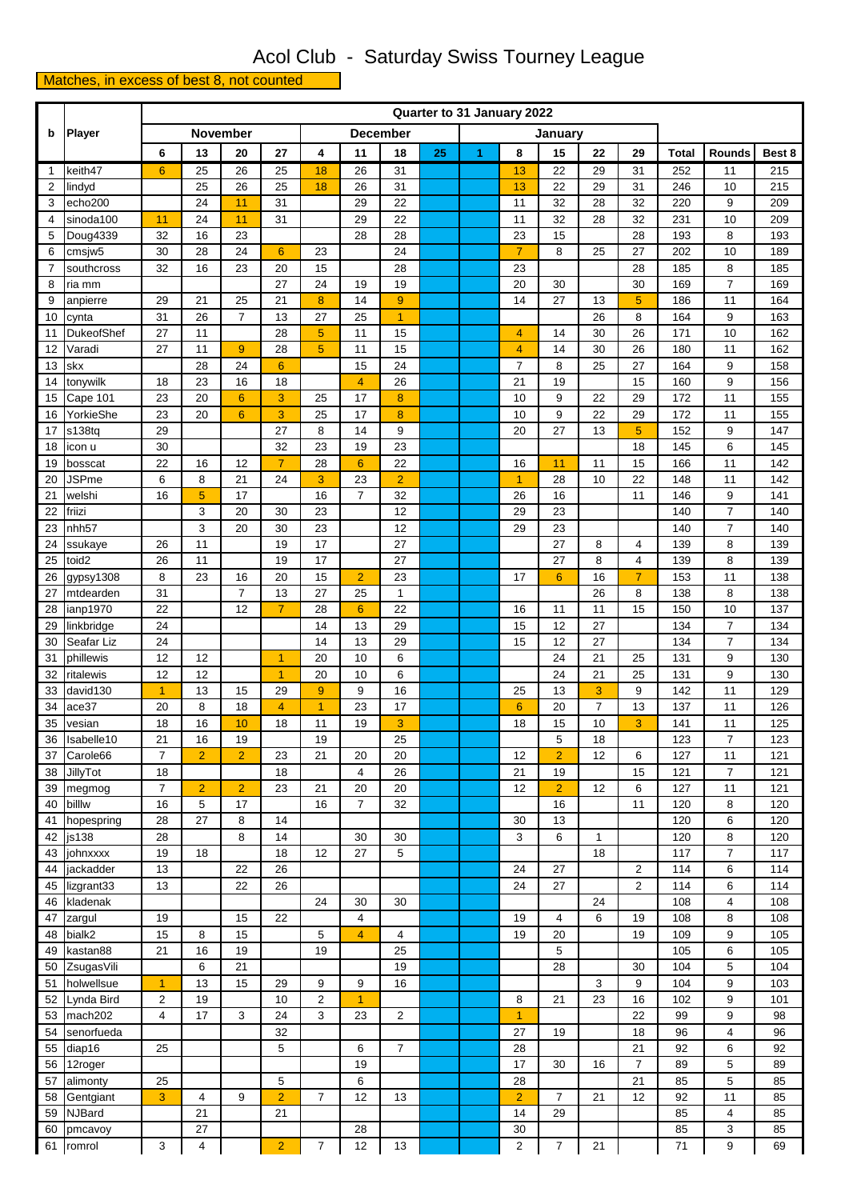## Acol Club - Saturday Swiss Tourney League

## Matches, in excess of best 8, not counted

|                | Player                         |                | Quarter to 31 January 2022 |                 |                 |                            |                      |                |    |    |                |                 |                |                |              |                |            |
|----------------|--------------------------------|----------------|----------------------------|-----------------|-----------------|----------------------------|----------------------|----------------|----|----|----------------|-----------------|----------------|----------------|--------------|----------------|------------|
| b              |                                |                |                            | <b>November</b> |                 | <b>December</b><br>January |                      |                |    |    |                |                 |                |                |              |                |            |
|                |                                | 6              | 13                         | 20              | 27              | 4                          | 11                   | 18             | 25 | 1. | 8              | 15              | 22             | 29             | <b>Total</b> | <b>Rounds</b>  | Best 8     |
| $\mathbf{1}$   | keith47                        | 6              | 25                         | 26              | 25              | 18                         | 26                   | 31             |    |    | 13             | 22              | 29             | 31             | 252          | 11             | 215        |
| 2              | lindyd                         |                | 25                         | 26              | 25              | 18                         | 26                   | 31             |    |    | 13             | 22              | 29             | 31             | 246          | 10             | 215        |
| 3              | echo200                        |                | 24                         | 11              | 31              |                            | 29                   | 22             |    |    | 11             | 32              | 28             | 32             | 220          | 9              | 209        |
| 4              | $\overline{\text{s}}$ inoda100 | 11             | 24                         | 11              | 31              |                            | 29                   | 22             |    |    | 11             | 32              | 28             | 32             | 231          | 10             | 209        |
| 5              | Doug4339                       | 32             | 16                         | 23              |                 |                            | 28                   | 28             |    |    | 23             | 15              |                | 28             | 193          | 8              | 193        |
| 6              | cmsjw <sub>5</sub>             | 30             | 28                         | 24              | $6\phantom{1}6$ | 23                         |                      | 24             |    |    | $\overline{7}$ | 8               | 25             | 27             | 202          | 10             | 189        |
| $\overline{7}$ | southcross                     | 32             | 16                         | 23              | 20              | 15                         |                      | 28             |    |    | 23             |                 |                | 28             | 185          | 8              | 185        |
| 8              | ria mm                         |                |                            |                 | 27              | 24                         | 19                   | 19             |    |    | 20             | 30              |                | 30             | 169          | $\overline{7}$ | 169        |
| 9              | anpierre                       | 29             | 21                         | 25              | 21              | 8                          | 14                   | 9              |    |    | 14             | 27              | 13             | 5              | 186          | 11             | 164        |
| 10             | cynta                          | 31             | 26                         | $\overline{7}$  | 13              | 27                         | 25                   | $\overline{1}$ |    |    |                |                 | 26             | 8              | 164          | 9              | 163        |
| 11             | DukeofShef                     | 27             | 11                         |                 | 28              | 5                          | 11                   | 15             |    |    | 4              | 14              | 30             | 26             | 171          | 10             | 162        |
| 12             | Varadi                         | 27             | 11                         | $\overline{9}$  | 28              | 5                          | 11                   | 15             |    |    | $\overline{4}$ | 14              | 30             | 26             | 180          | 11             | 162        |
| 13             | skx                            |                | 28                         | 24              | $6\phantom{1}6$ |                            | 15                   | 24             |    |    | $\overline{7}$ | 8               | 25             | 27             | 164          | 9              | 158        |
| 14             | tonywilk                       | 18             | 23                         | 16              | 18              |                            | $\overline{4}$       | 26             |    |    | 21             | 19              |                | 15             | 160          | 9              | 156        |
| 15             | Cape 101                       | 23             | 20                         | $6\phantom{1}6$ | 3               | 25                         | 17                   | 8              |    |    | 10             | 9               | 22             | 29             | 172          | 11             | 155        |
| 16             | YorkieShe                      | 23             | 20                         | $6\phantom{1}$  | 3               | 25                         | 17                   | $\bf 8$        |    |    | 10             | 9               | 22             | 29             | 172          | 11             | 155        |
| 17             | s138tq                         | 29             |                            |                 | 27              | 8                          | 14                   | 9              |    |    | 20             | 27              | 13             | 5              | 152          | 9              | 147        |
| 18             | icon u                         | 30             |                            |                 | 32              | 23                         | 19                   | 23             |    |    |                |                 |                | 18             | 145          | 6              | 145        |
| 19             | bosscat                        | 22             | 16                         | 12              | $\overline{7}$  | 28                         | 6                    | 22             |    |    | 16             | 11              | 11             | 15             | 166          | 11             | 142        |
| 20             | <b>JSPme</b>                   | 6<br>16        | 8                          | 21<br>17        | 24              | 3<br>16                    | 23<br>$\overline{7}$ | $\overline{2}$ |    |    | $\overline{1}$ | 28              | 10             | 22<br>11       | 148          | 11<br>9        | 142        |
| 21<br>22       | welshi<br>friizi               |                | 5<br>3                     | 20              | 30              | 23                         |                      | 32<br>12       |    |    | 26<br>29       | 16<br>23        |                |                | 146<br>140   | $\overline{7}$ | 141<br>140 |
| 23             | nhh <sub>57</sub>              |                | 3                          | 20              | 30              | 23                         |                      | 12             |    |    | 29             | 23              |                |                | 140          | $\overline{7}$ | 140        |
| 24             | ssukaye                        | 26             | 11                         |                 | 19              | 17                         |                      | 27             |    |    |                | 27              | 8              | 4              | 139          | 8              | 139        |
| 25             | toid2                          | 26             | 11                         |                 | 19              | 17                         |                      | 27             |    |    |                | 27              | 8              | 4              | 139          | 8              | 139        |
| 26             | gypsy1308                      | 8              | 23                         | 16              | 20              | 15                         | $\overline{2}$       | 23             |    |    | 17             | $6\phantom{1}6$ | 16             | $\overline{7}$ | 153          | 11             | 138        |
| 27             | mtdearden                      | 31             |                            | $\overline{7}$  | 13              | 27                         | 25                   | $\mathbf{1}$   |    |    |                |                 | 26             | 8              | 138          | 8              | 138        |
| 28             | ianp1970                       | 22             |                            | 12              | $\overline{7}$  | 28                         | $6\phantom{1}6$      | 22             |    |    | 16             | 11              | 11             | 15             | 150          | 10             | 137        |
| 29             | linkbridge                     | 24             |                            |                 |                 | 14                         | 13                   | 29             |    |    | 15             | 12              | 27             |                | 134          | $\overline{7}$ | 134        |
| 30             | Seafar Liz                     | 24             |                            |                 |                 | 14                         | 13                   | 29             |    |    | 15             | 12              | 27             |                | 134          | $\overline{7}$ | 134        |
| 31             | phillewis                      | 12             | 12                         |                 | $\overline{1}$  | 20                         | 10                   | 6              |    |    |                | 24              | 21             | 25             | 131          | 9              | 130        |
| 32             | ritalewis                      | 12             | 12                         |                 | $\overline{1}$  | 20                         | 10                   | 6              |    |    |                | 24              | 21             | 25             | 131          | 9              | 130        |
| 33             | david130                       | $\overline{1}$ | 13                         | 15              | 29              | 9                          | 9                    | 16             |    |    | 25             | 13              | 3              | 9              | 142          | 11             | 129        |
| 34             | ace37                          | 20             | 8                          | 18              | $\overline{4}$  | $\overline{1}$             | 23                   | 17             |    |    | $6\phantom{1}$ | 20              | $\overline{7}$ | 13             | 137          | 11             | 126        |
| 35             | vesian                         | 18             | 16                         | 10              | 18              | 11                         | 19                   | 3              |    |    | 18             | 15              | 10             | 3              | 141          | 11             | 125        |
| 36             | Isabelle10                     | 21             | 16                         | 19              |                 | 19                         |                      | 25             |    |    |                | 5               | 18             |                | 123          | $\overline{7}$ | 123        |
| 37             | Carole66                       | $\overline{7}$ | $\overline{2}$             | $\overline{2}$  | 23              | 21                         | 20                   | 20             |    |    | 12             | $\overline{2}$  | 12             | 6              | 127          | 11             | 121        |
| 38             | JillyTot                       | 18             |                            |                 | 18              |                            | $\overline{4}$       | 26             |    |    | 21             | 19              |                | 15             | 121          | $\overline{7}$ | 121        |
| 39             | megmog                         | $\overline{7}$ | $\overline{2}$             | $\overline{2}$  | 23              | 21                         | 20                   | 20             |    |    | 12             | $\overline{2}$  | 12             | 6              | 127          | 11             | 121        |
| 40             | billlw                         | 16             | 5                          | 17              |                 | 16                         | $\overline{7}$       | 32             |    |    |                | 16              |                | 11             | 120          | 8              | 120        |
| 41             | hopespring                     | 28             | 27                         | 8               | 14              |                            |                      |                |    |    | 30             | 13              |                |                | 120          | 6              | 120        |
| 42             | js138                          | 28             |                            | 8               | 14              |                            | 30                   | 30             |    |    | 3              | 6               | $\mathbf{1}$   |                | 120          | 8              | 120        |
| 43             | johnxxxx                       | 19             | 18                         |                 | 18              | 12                         | 27                   | 5              |    |    |                |                 | 18             |                | 117          | $\overline{7}$ | 117        |
| 44             | jackadder                      | 13             |                            | 22              | 26<br>26        |                            |                      |                |    |    | 24<br>24       | 27<br>27        |                | $\overline{2}$ | 114          | 6              | 114        |
| 45<br>46       | lizgrant33<br>kladenak         | 13             |                            | 22              |                 | 24                         | 30                   | 30             |    |    |                |                 | 24             | 2              | 114<br>108   | 6<br>4         | 114<br>108 |
| 47             | zargul                         | 19             |                            | 15              | 22              |                            | $\overline{4}$       |                |    |    | 19             | 4               | 6              | 19             | 108          | 8              | 108        |
| 48             | bialk2                         | 15             | 8                          | 15              |                 | 5                          | $\overline{4}$       | 4              |    |    | 19             | 20              |                | 19             | 109          | 9              | 105        |
| 49             | kastan88                       | 21             | 16                         | 19              |                 | 19                         |                      | 25             |    |    |                | 5               |                |                | 105          | 6              | 105        |
| 50             | ZsugasVili                     |                | 6                          | 21              |                 |                            |                      | 19             |    |    |                | 28              |                | 30             | 104          | 5              | 104        |
| 51             | holwellsue                     | $\overline{1}$ | 13                         | 15              | 29              | 9                          | 9                    | 16             |    |    |                |                 | 3              | 9              | 104          | 9              | 103        |
| 52             | Lynda Bird                     | $\overline{2}$ | 19                         |                 | 10              | $\overline{2}$             | $\overline{1}$       |                |    |    | 8              | 21              | 23             | 16             | 102          | 9              | 101        |
| 53             | mach202                        | 4              | 17                         | 3               | 24              | 3                          | 23                   | 2              |    |    | $\overline{1}$ |                 |                | 22             | 99           | 9              | 98         |
| 54             | senorfueda                     |                |                            |                 | 32              |                            |                      |                |    |    | 27             | 19              |                | 18             | 96           | 4              | 96         |
| 55             | diap16                         | 25             |                            |                 | 5               |                            | 6                    | $\overline{7}$ |    |    | 28             |                 |                | 21             | 92           | 6              | 92         |
| 56             | 12roger                        |                |                            |                 |                 |                            | 19                   |                |    |    | 17             | 30              | 16             | $\overline{7}$ | 89           | 5              | 89         |
| 57             | alimonty                       | 25             |                            |                 | 5               |                            | 6                    |                |    |    | 28             |                 |                | 21             | 85           | 5              | 85         |
| 58             | Gentgiant                      | 3              | $\overline{4}$             | 9               | $\overline{2}$  | $\overline{7}$             | 12                   | 13             |    |    | $\overline{2}$ | $\overline{7}$  | 21             | 12             | 92           | 11             | 85         |
| 59             | <b>NJBard</b>                  |                | 21                         |                 | 21              |                            |                      |                |    |    | 14             | 29              |                |                | 85           | 4              | 85         |
| 60             | pmcavoy                        |                | 27                         |                 |                 |                            | 28                   |                |    |    | 30             |                 |                |                | 85           | 3              | 85         |
|                | 61 romrol                      | 3              | $\overline{4}$             |                 | $\mathcal{P}$   | $\overline{7}$             | 12                   | 13             |    |    | $\overline{2}$ | $\overline{7}$  | 21             |                | 71           | 9              | 69         |